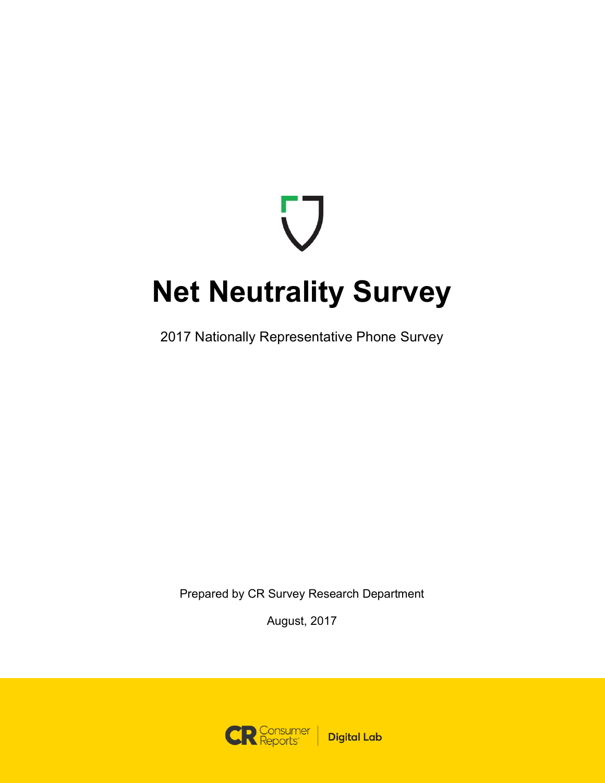# **Net Neutrality Survey**

2017 Nationally Representative Phone Survey

Prepared by CR Survey Research Department

August, 2017

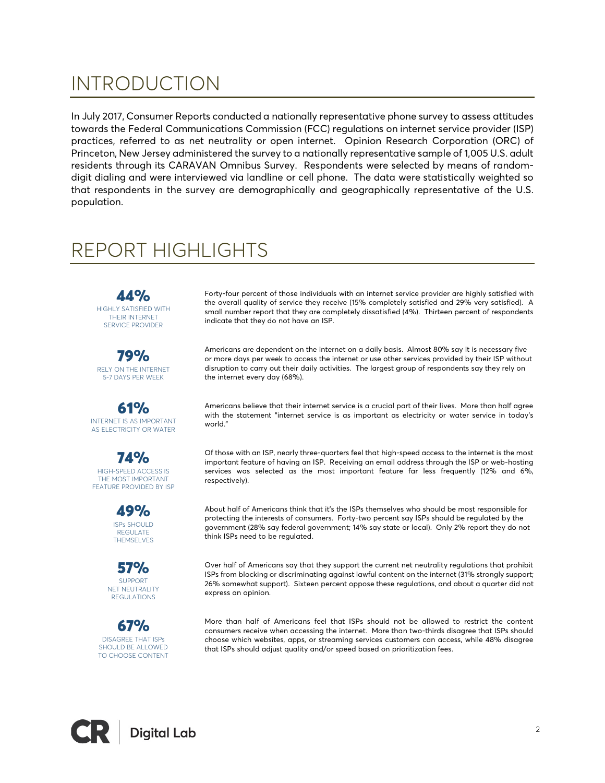## INTRODUCTION

In July 2017, Consumer Reports conducted a nationally representative phone survey to assess attitudes towards the Federal Communications Commission (FCC) regulations on internet service provider (ISP) practices, referred to as net neutrality or open internet. Opinion Research Corporation (ORC) of Princeton, New Jersey administered the survey to a nationally representative sample of 1,005 U.S. adult residents through its CARAVAN Omnibus Survey. Respondents were selected by means of randomdigit dialing and were interviewed via landline or cell phone. The data were statistically weighted so that respondents in the survey are demographically and geographically representative of the U.S. population.

### REPORT HIGHLIGHTS

44% HIGHLY SATISFIED WITH THEIR INTERNET SERVICE PROVIDER

79% RELY ON THE INTERNET 5-7 DAYS PER WEEK

61% INTERNET IS AS IMPORTANT AS ELECTRICITY OR WATER

74% HIGH-SPEED ACCESS IS THE MOST IMPORTANT FEATURE PROVIDED BY ISP

> 49% ISPs SHOULD REGULATE THEMSELVES

57% SUPPORT NET NEUTRALITY **REGULATIONS** 

67% DISAGREE THAT ISPs SHOULD BE ALLOWED TO CHOOSE CONTENT Forty-four percent of those individuals with an internet service provider are highly satisfied with the overall quality of service they receive (15% completely satisfied and 29% very satisfied). A small number report that they are completely dissatisfied (4%). Thirteen percent of respondents indicate that they do not have an ISP.

Americans are dependent on the internet on a daily basis. Almost 80% say it is necessary five or more days per week to access the internet or use other services provided by their ISP without disruption to carry out their daily activities. The largest group of respondents say they rely on the internet every day (68%).

Americans believe that their internet service is a crucial part of their lives. More than half agree with the statement "internet service is as important as electricity or water service in today's world."

Of those with an ISP, nearly three-quarters feel that high-speed access to the internet is the most important feature of having an ISP. Receiving an email address through the ISP or web-hosting services was selected as the most important feature far less frequently (12% and 6%, respectively).

About half of Americans think that it's the ISPs themselves who should be most responsible for protecting the interests of consumers. Forty-two percent say ISPs should be regulated by the government (28% say federal government; 14% say state or local). Only 2% report they do not think ISPs need to be regulated.

Over half of Americans say that they support the current net neutrality regulations that prohibit ISPs from blocking or discriminating against lawful content on the internet (31% strongly support; 26% somewhat support). Sixteen percent oppose these regulations, and about a quarter did not express an opinion.

More than half of Americans feel that ISPs should not be allowed to restrict the content consumers receive when accessing the internet. More than two-thirds disagree that ISPs should choose which websites, apps, or streaming services customers can access, while 48% disagree that ISPs should adjust quality and/or speed based on prioritization fees.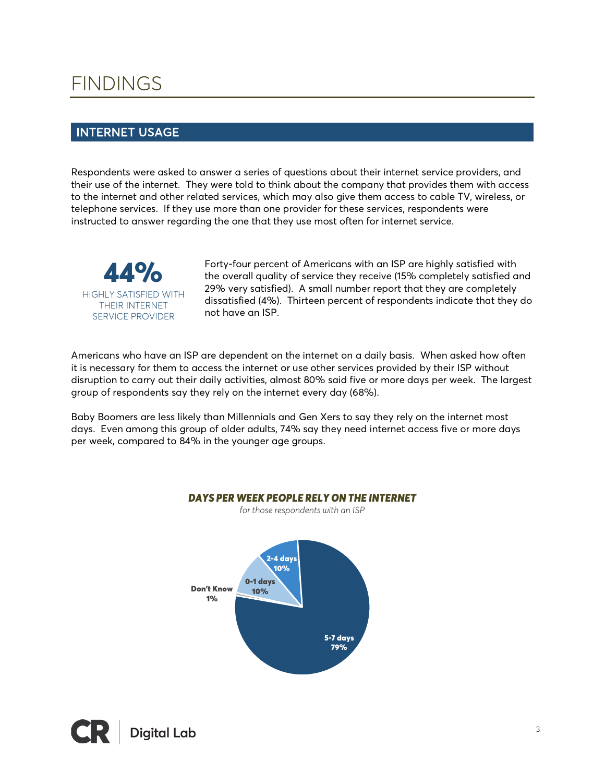### FINDINGS

### INTERNET USAGE

Respondents were asked to answer a series of questions about their internet service providers, and their use of the internet. They were told to think about the company that provides them with access to the internet and other related services, which may also give them access to cable TV, wireless, or telephone services. If they use more than one provider for these services, respondents were instructed to answer regarding the one that they use most often for internet service.



Forty-four percent of Americans with an ISP are highly satisfied with the overall quality of service they receive (15% completely satisfied and 29% very satisfied). A small number report that they are completely dissatisfied (4%). Thirteen percent of respondents indicate that they do not have an ISP.

Americans who have an ISP are dependent on the internet on a daily basis. When asked how often it is necessary for them to access the internet or use other services provided by their ISP without disruption to carry out their daily activities, almost 80% said five or more days per week. The largest group of respondents say they rely on the internet every day (68%).

Baby Boomers are less likely than Millennials and Gen Xers to say they rely on the internet most days. Even among this group of older adults, 74% say they need internet access five or more days per week, compared to 84% in the younger age groups.

*DAYS PER WEEK PEOPLE RELY ON THE INTERNET*



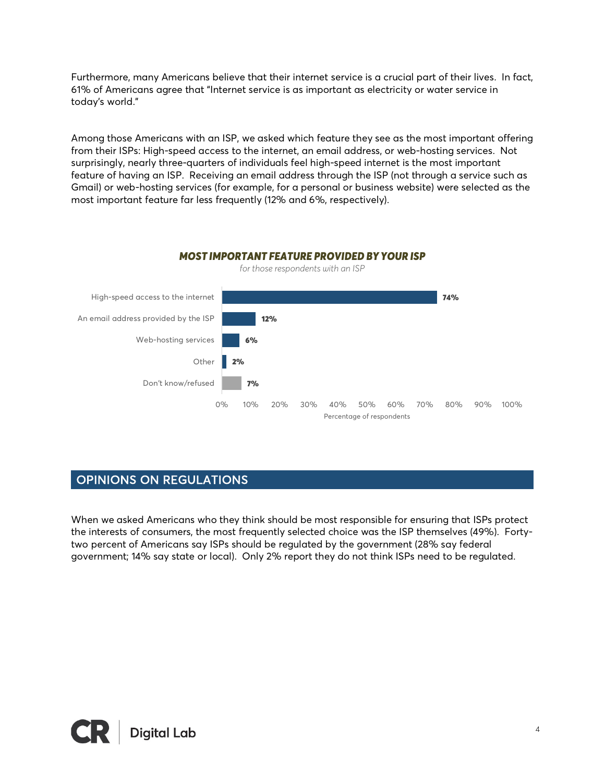Furthermore, many Americans believe that their internet service is a crucial part of their lives. In fact, 61% of Americans agree that "Internet service is as important as electricity or water service in today's world."

Among those Americans with an ISP, we asked which feature they see as the most important offering from their ISPs: High-speed access to the internet, an email address, or web-hosting services. Not surprisingly, nearly three-quarters of individuals feel high-speed internet is the most important feature of having an ISP. Receiving an email address through the ISP (not through a service such as Gmail) or web-hosting services (for example, for a personal or business website) were selected as the most important feature far less frequently (12% and 6%, respectively).



#### *MOST IMPORTANT FEATURE PROVIDED BY YOUR ISP*

#### OPINIONS ON REGULATIONS

When we asked Americans who they think should be most responsible for ensuring that ISPs protect the interests of consumers, the most frequently selected choice was the ISP themselves (49%). Fortytwo percent of Americans say ISPs should be regulated by the government (28% say federal government; 14% say state or local). Only 2% report they do not think ISPs need to be regulated.

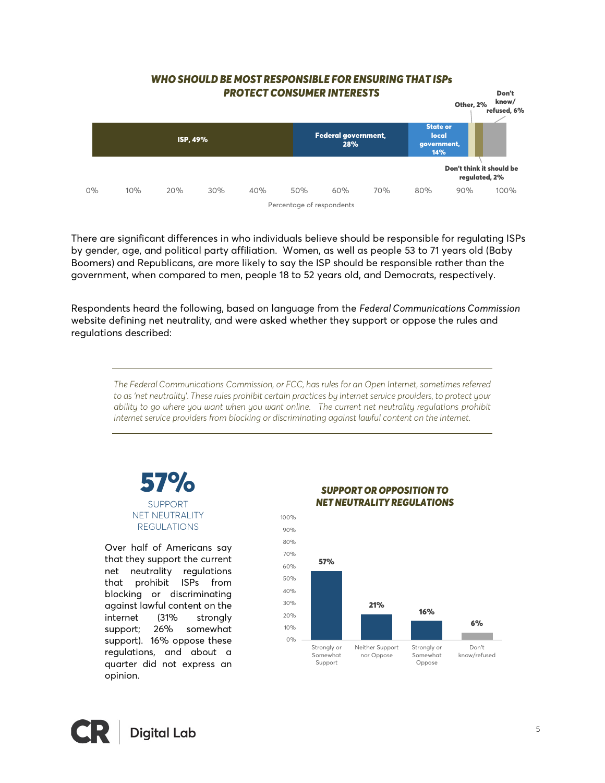

There are significant differences in who individuals believe should be responsible for regulating ISPs by gender, age, and political party affiliation. Women, as well as people 53 to 71 years old (Baby Boomers) and Republicans, are more likely to say the ISP should be responsible rather than the government, when compared to men, people 18 to 52 years old, and Democrats, respectively.

Respondents heard the following, based on language from the *Federal Communications Commission* website defining net neutrality, and were asked whether they support or oppose the rules and regulations described:

*The Federal Communications Commission, or FCC, has rules for an Open Internet, sometimes referred to as 'net neutrality'. These rules prohibit certain practices by internet service providers, to protect your ability to go where you want when you want online. The current net neutrality regulations prohibit internet service providers from blocking or discriminating against lawful content on the internet.* 



SUPPORT NET NEUTRALITY REGULATIONS

Over half of Americans say that they support the current net neutrality regulations that prohibit ISPs from blocking or discriminating against lawful content on the internet (31% strongly support; 26% somewhat support). 16% oppose these regulations, and about a quarter did not express an opinion.



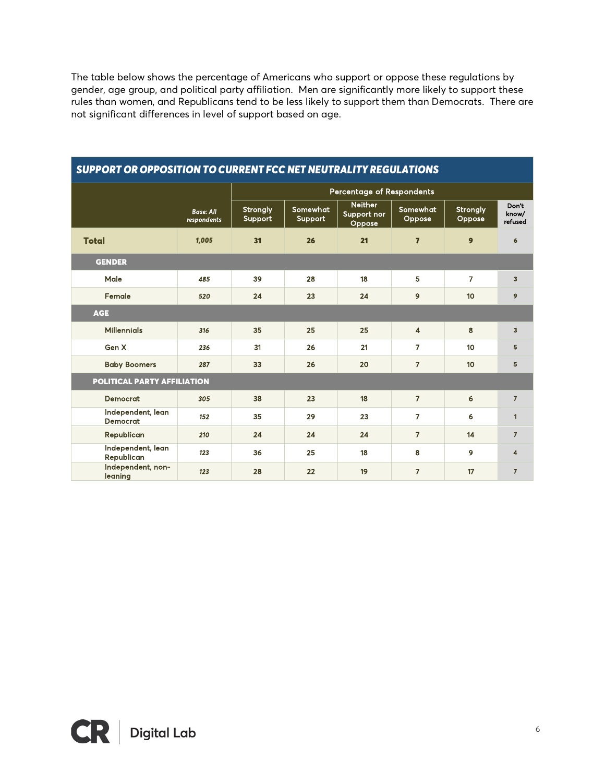The table below shows the percentage of Americans who support or oppose these regulations by gender, age group, and political party affiliation. Men are significantly more likely to support these rules than women, and Republicans tend to be less likely to support them than Democrats. There are not significant differences in level of support based on age.

| JUFFURI UR UFFUJITIUN TU GURRENT FGG NET NEUTRAEITT REUUEATIUNJ |                                 |                            |                     |                                         |                         |                           |                           |  |  |  |  |  |
|-----------------------------------------------------------------|---------------------------------|----------------------------|---------------------|-----------------------------------------|-------------------------|---------------------------|---------------------------|--|--|--|--|--|
|                                                                 |                                 |                            |                     | <b>Percentage of Respondents</b>        |                         |                           |                           |  |  |  |  |  |
|                                                                 | <b>Base: All</b><br>respondents | <b>Strongly</b><br>Support | Somewhat<br>Support | <b>Neither</b><br>Support nor<br>Oppose | Somewhat<br>Oppose      | <b>Strongly</b><br>Oppose | Don't<br>know/<br>refused |  |  |  |  |  |
| <b>Total</b>                                                    | 1,005                           | 31                         | 26                  | 21                                      | $\overline{7}$          | 9                         | 6                         |  |  |  |  |  |
| <b>GENDER</b>                                                   |                                 |                            |                     |                                         |                         |                           |                           |  |  |  |  |  |
| Male                                                            | 485                             | 39                         | 28                  | 18                                      | 5                       | $\overline{7}$            | 3                         |  |  |  |  |  |
| Female                                                          | 520                             | 24                         | 23                  | 24                                      | 9                       | 10                        | 9                         |  |  |  |  |  |
| <b>AGE</b>                                                      |                                 |                            |                     |                                         |                         |                           |                           |  |  |  |  |  |
| <b>Millennials</b>                                              | 316                             | 35                         | 25                  | 25                                      | $\overline{\mathbf{4}}$ | 8                         | 3                         |  |  |  |  |  |
| Gen X                                                           | 236                             | 31                         | 26                  | 21                                      | $\overline{7}$          | 10                        | 5                         |  |  |  |  |  |
| <b>Baby Boomers</b>                                             | 287                             | 33                         | 26                  | 20                                      | $\overline{7}$          | 10 <sub>o</sub>           | 5                         |  |  |  |  |  |
| POLITICAL PARTY AFFILIATION                                     |                                 |                            |                     |                                         |                         |                           |                           |  |  |  |  |  |
| <b>Democrat</b>                                                 | 305                             | 38                         | 23                  | 18                                      | $\overline{7}$          | 6                         | $\overline{7}$            |  |  |  |  |  |
| Independent, lean<br><b>Democrat</b>                            | 152                             | 35                         | 29                  | 23                                      | $\overline{7}$          | 6                         | $\mathbf{1}$              |  |  |  |  |  |
| Republican                                                      | 210                             | 24                         | 24                  | 24                                      | $\overline{7}$          | 14                        | $\overline{7}$            |  |  |  |  |  |
| Independent, lean<br>Republican                                 | 123                             | 36                         | 25                  | 18                                      | 8                       | 9                         | 4                         |  |  |  |  |  |
| Independent, non-<br>leaning                                    | 123                             | 28                         | 22                  | 19                                      | $\overline{7}$          | 17                        | $\overline{7}$            |  |  |  |  |  |

#### *SUPPORT OR OPPOSITION TO CURRENT FCC NET NEUTRALITY REGULATIONS*

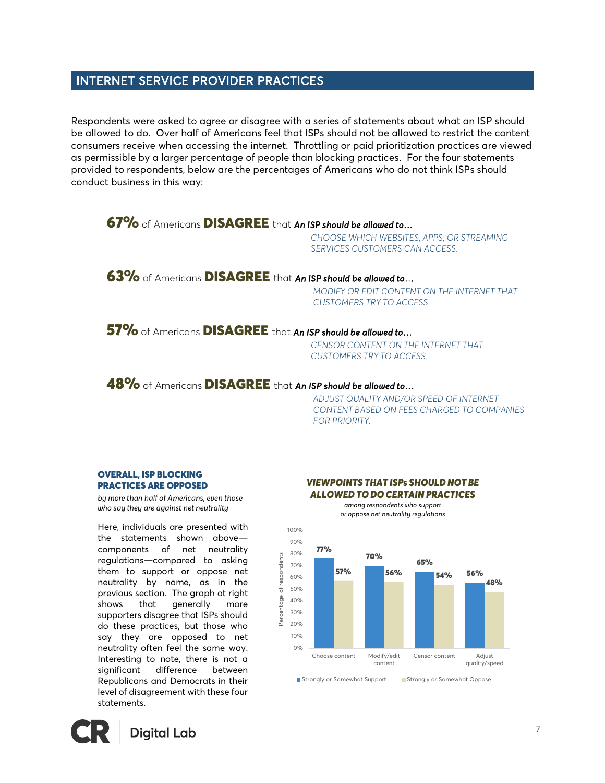#### INTERNET SERVICE PROVIDER PRACTICES

Respondents were asked to agree or disagree with a series of statements about what an ISP should be allowed to do. Over half of Americans feel that ISPs should not be allowed to restrict the content consumers receive when accessing the internet. Throttling or paid prioritization practices are viewed as permissible by a larger percentage of people than blocking practices. For the four statements provided to respondents, below are the percentages of Americans who do not think ISPs should conduct business in this way:

#### 67% of Americans DISAGREE that *An ISP should be allowed to…*

*CHOOSE WHICH WEBSITES, APPS, OR STREAMING SERVICES CUSTOMERS CAN ACCESS.* 

#### 63% of Americans DISAGREE that *An ISP should be allowed to…*

*MODIFY OR EDIT CONTENT ON THE INTERNET THAT CUSTOMERS TRY TO ACCESS.*

57% of Americans DISAGREE that *An ISP should be allowed to…* 

*CENSOR CONTENT ON THE INTERNET THAT CUSTOMERS TRY TO ACCESS.* 

#### 48% of Americans DISAGREE that *An ISP should be allowed to…*

100%

*ADJUST QUALITY AND/OR SPEED OF INTERNET CONTENT BASED ON FEES CHARGED TO COMPANIES FOR PRIORITY.*

#### OVERALL, ISP BLOCKING PRACTICES ARE OPPOSED

*by more than half of Americans, even those who say they are against net neutrality*

Here, individuals are presented with the statements shown above components of net neutrality regulations—compared to asking them to support or oppose net neutrality by name, as in the previous section. The graph at right shows that generally more supporters disagree that ISPs should do these practices, but those who say they are opposed to net neutrality often feel the same way. Interesting to note, there is not a significant difference between Republicans and Democrats in their level of disagreement with these four statements.



#### *VIEWPOINTS THAT ISPs SHOULD NOT BE ALLOWED TO DO CERTAIN PRACTICES*

*among respondents who support or oppose net neutrality regulations*



■ Strongly or Somewhat Support Strongly or Somewhat Oppose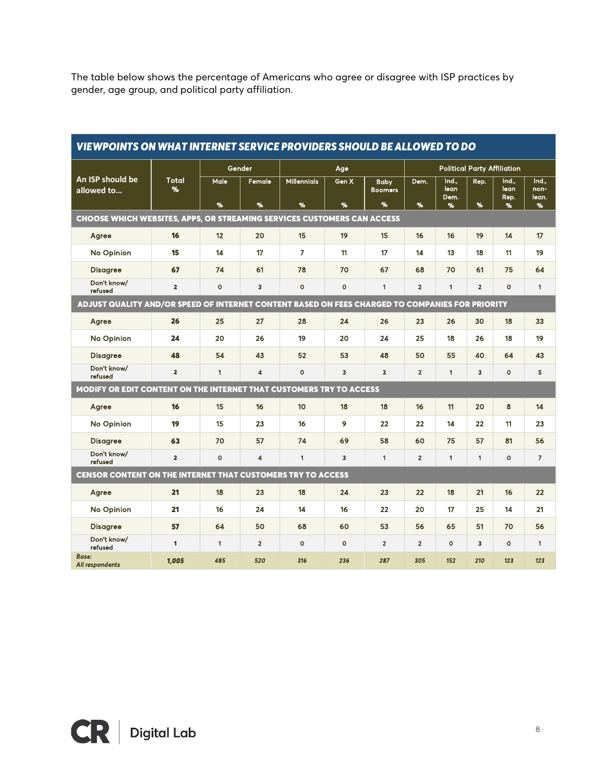The table below shows the percentage of Americans who agree or disagree with ISP practices by gender, age group, and political party affiliation.

| <b>VIEWPOINTS ON WHAT INTERNET SERVICE PROVIDERS SHOULD BE ALLOWED TO DO</b>                    |                   |              |                         |                         |                     |                                    |                                    |                            |                |                            |                             |  |
|-------------------------------------------------------------------------------------------------|-------------------|--------------|-------------------------|-------------------------|---------------------|------------------------------------|------------------------------------|----------------------------|----------------|----------------------------|-----------------------------|--|
| An ISP should be<br>allowed to                                                                  | <b>Total</b><br>% | Gender       |                         | Age                     |                     |                                    | <b>Political Party Affiliation</b> |                            |                |                            |                             |  |
|                                                                                                 |                   | Male<br>%    | Female<br>%             | <b>Millennials</b><br>% | Gen X<br>%          | <b>Baby</b><br><b>Boomers</b><br>% | Dem.<br>%                          | Ind.,<br>lean<br>Dem.<br>% | Rep.<br>%      | Ind.,<br>lean<br>Rep.<br>% | Ind.,<br>non-<br>lean.<br>% |  |
| <b>CHOOSE WHICH WEBSITES, APPS, OR STREAMING SERVICES CUSTOMERS CAN ACCESS</b>                  |                   |              |                         |                         |                     |                                    |                                    |                            |                |                            |                             |  |
| Agree                                                                                           | 16                | 12           | 20                      | 15                      | 19                  | 15                                 | 16                                 | 16                         | 19             | 14                         | 17                          |  |
| <b>No Opinion</b>                                                                               | 15                | 14           | 17                      | $\overline{7}$          | 11                  | 17                                 | 14                                 | 13                         | 18             | 11                         | 19                          |  |
| <b>Disagree</b>                                                                                 | 67                | 74           | 61                      | 78                      | 70                  | 67                                 | 68                                 | 70                         | 61             | 75                         | 64                          |  |
| Don't know/<br>refused                                                                          | $\overline{2}$    | $\circ$      | 3                       | $\mathbf{o}$            | $\mathsf{o}\xspace$ | 1                                  | $\overline{2}$                     | $\mathbf{1}$               | $\overline{2}$ | $\mathbf{o}$               | $\mathbf{1}$                |  |
| ADJUST QUALITY AND/OR SPEED OF INTERNET CONTENT BASED ON FEES CHARGED TO COMPANIES FOR PRIORITY |                   |              |                         |                         |                     |                                    |                                    |                            |                |                            |                             |  |
| Agree                                                                                           | 26                | 25           | 27                      | 28                      | 24                  | 26                                 | 23                                 | 26                         | 30             | 18                         | 33                          |  |
| <b>No Opinion</b>                                                                               | 24                | 20           | 26                      | 19                      | 20                  | 24                                 | 25                                 | 18                         | 26             | 18                         | 19                          |  |
| <b>Disagree</b>                                                                                 | 48                | 54           | 43                      | 52                      | 53                  | 48                                 | 50                                 | 55                         | 40             | 64                         | 43                          |  |
| Don't know/<br>refused                                                                          | $\overline{2}$    | $\mathbf{1}$ | $\overline{\mathbf{4}}$ | $\Omega$                | 3                   | 3                                  | $\overline{2}$                     | $\mathbf{1}$               | 3              | $\mathbf{o}$               | 5                           |  |
| MODIFY OR EDIT CONTENT ON THE INTERNET THAT CUSTOMERS TRY TO ACCESS                             |                   |              |                         |                         |                     |                                    |                                    |                            |                |                            |                             |  |
| Agree                                                                                           | 16                | 15           | 16                      | 10 <sub>10</sub>        | 18                  | 18                                 | 16                                 | 11                         | 20             | 8                          | 14                          |  |
| <b>No Opinion</b>                                                                               | 19                | 15           | 23                      | 16                      | 9                   | 22                                 | 22                                 | 14                         | 22             | 11                         | 23                          |  |
| <b>Disagree</b>                                                                                 | 63                | 70           | 57                      | 74                      | 69                  | 58                                 | 60                                 | 75                         | 57             | 81                         | 56                          |  |
| Don't know/<br>refused                                                                          | $\overline{2}$    | $\mathbf{o}$ | $\overline{\mathbf{4}}$ | $\mathbf{1}$            | 3                   | $\mathbf{1}$                       | $\overline{2}$                     | $\mathbf{1}$               | $\blacksquare$ | $\mathbf{o}$               | $\overline{7}$              |  |
| <b>CENSOR CONTENT ON THE INTERNET THAT CUSTOMERS TRY TO ACCESS</b>                              |                   |              |                         |                         |                     |                                    |                                    |                            |                |                            |                             |  |
| Agree                                                                                           | 21                | 18           | 23                      | 18                      | 24                  | 23                                 | 22                                 | 18                         | 21             | 16                         | 22                          |  |
| <b>No Opinion</b>                                                                               | 21                | 16           | 24                      | 14                      | 16                  | 22                                 | 20                                 | 17                         | 25             | 14                         | 21                          |  |
| <b>Disagree</b>                                                                                 | 57                | 64           | 50                      | 68                      | 60                  | 53                                 | 56                                 | 65                         | 51             | 70                         | 56                          |  |
| Don't know/<br>refused                                                                          | 1                 | $\mathbf{1}$ | $\overline{2}$          | $\Omega$                | $\circ$             | $\overline{\mathbf{2}}$            | $\overline{2}$                     | $\circ$                    | 3              | $\mathbf{o}$               | $\mathbf{1}$                |  |
| <b>Base:</b><br>All respondents                                                                 | 1,005             | 485          | 520                     | 316                     | 236                 | 287                                | 305                                | 152                        | 210            | 123                        | 123                         |  |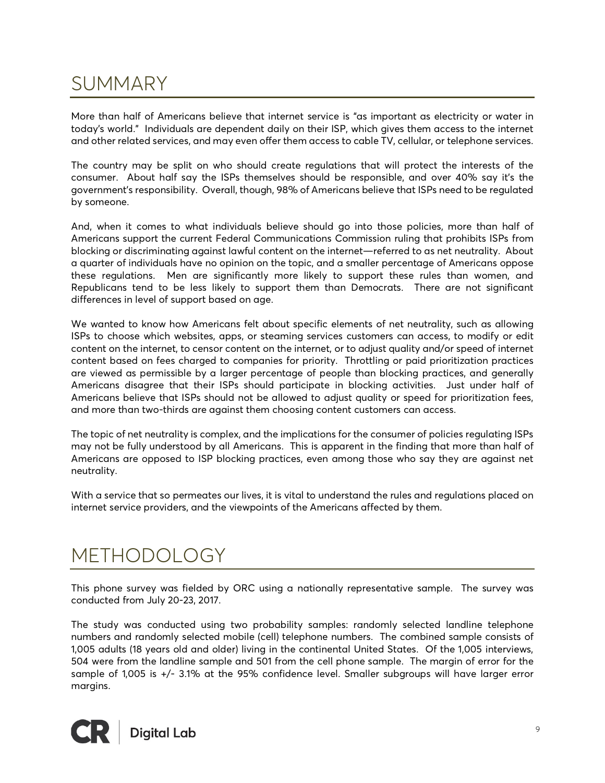### SUMMARY

More than half of Americans believe that internet service is "as important as electricity or water in today's world." Individuals are dependent daily on their ISP, which gives them access to the internet and other related services, and may even offer them access to cable TV, cellular, or telephone services.

The country may be split on who should create regulations that will protect the interests of the consumer. About half say the ISPs themselves should be responsible, and over 40% say it's the government's responsibility. Overall, though, 98% of Americans believe that ISPs need to be regulated by someone.

And, when it comes to what individuals believe should go into those policies, more than half of Americans support the current Federal Communications Commission ruling that prohibits ISPs from blocking or discriminating against lawful content on the internet—referred to as net neutrality. About a quarter of individuals have no opinion on the topic, and a smaller percentage of Americans oppose these regulations. Men are significantly more likely to support these rules than women, and Republicans tend to be less likely to support them than Democrats. There are not significant differences in level of support based on age.

We wanted to know how Americans felt about specific elements of net neutrality, such as allowing ISPs to choose which websites, apps, or steaming services customers can access, to modify or edit content on the internet, to censor content on the internet, or to adjust quality and/or speed of internet content based on fees charged to companies for priority. Throttling or paid prioritization practices are viewed as permissible by a larger percentage of people than blocking practices, and generally Americans disagree that their ISPs should participate in blocking activities. Just under half of Americans believe that ISPs should not be allowed to adjust quality or speed for prioritization fees, and more than two-thirds are against them choosing content customers can access.

The topic of net neutrality is complex, and the implications for the consumer of policies regulating ISPs may not be fully understood by all Americans. This is apparent in the finding that more than half of Americans are opposed to ISP blocking practices, even among those who say they are against net neutrality.

With a service that so permeates our lives, it is vital to understand the rules and regulations placed on internet service providers, and the viewpoints of the Americans affected by them.

## METHODOLOGY

This phone survey was fielded by ORC using a nationally representative sample. The survey was conducted from July 20-23, 2017.

The study was conducted using two probability samples: randomly selected landline telephone numbers and randomly selected mobile (cell) telephone numbers. The combined sample consists of 1,005 adults (18 years old and older) living in the continental United States. Of the 1,005 interviews, 504 were from the landline sample and 501 from the cell phone sample. The margin of error for the sample of 1,005 is +/- 3.1% at the 95% confidence level. Smaller subgroups will have larger error margins.